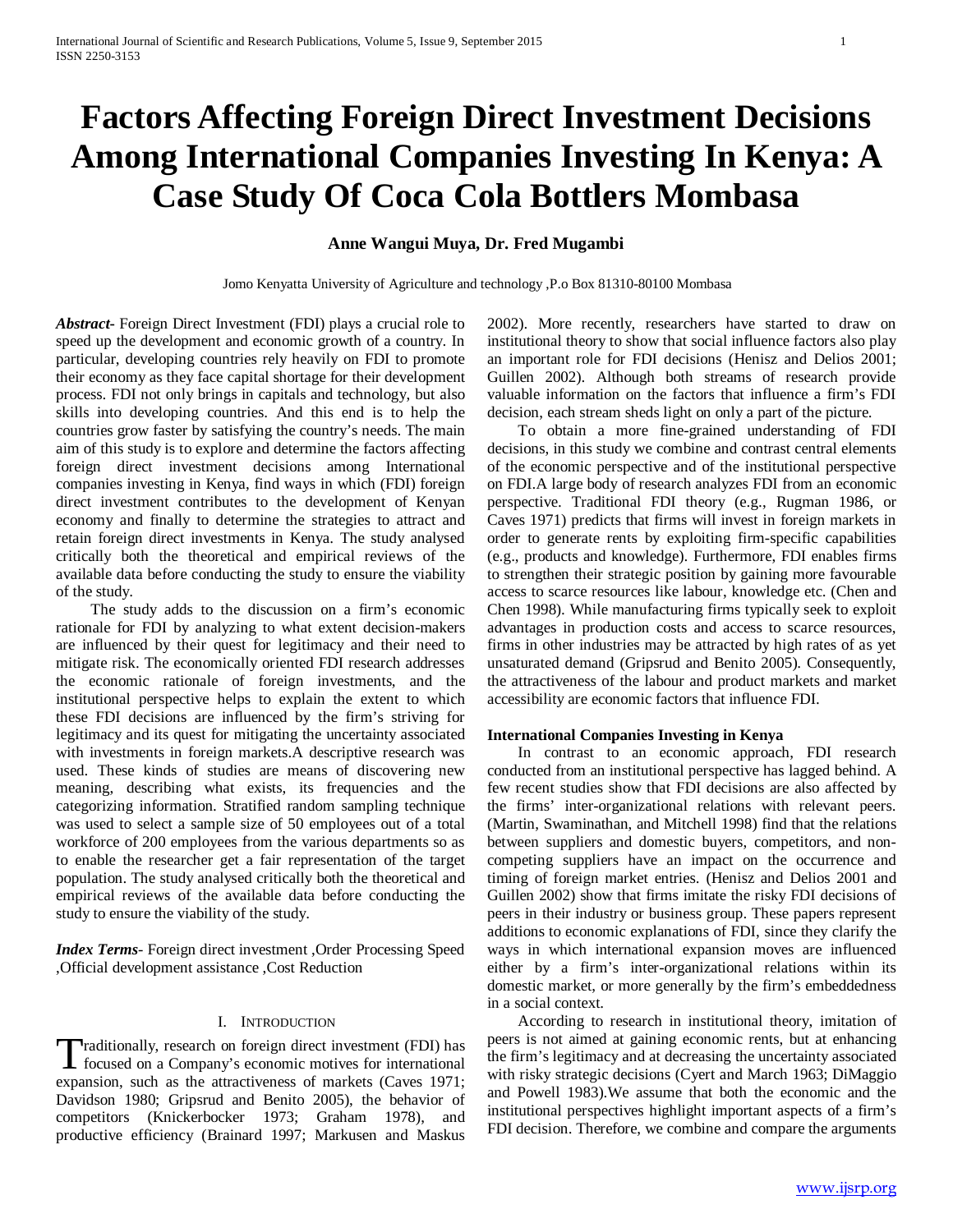# **Factors Affecting Foreign Direct Investment Decisions Among International Companies Investing In Kenya: A Case Study Of Coca Cola Bottlers Mombasa**

## **Anne Wangui Muya, Dr. Fred Mugambi**

Jomo Kenyatta University of Agriculture and technology ,P.o Box 81310-80100 Mombasa

*Abstract***-** Foreign Direct Investment (FDI) plays a crucial role to speed up the development and economic growth of a country. In particular, developing countries rely heavily on FDI to promote their economy as they face capital shortage for their development process. FDI not only brings in capitals and technology, but also skills into developing countries. And this end is to help the countries grow faster by satisfying the country's needs. The main aim of this study is to explore and determine the factors affecting foreign direct investment decisions among International companies investing in Kenya, find ways in which (FDI) foreign direct investment contributes to the development of Kenyan economy and finally to determine the strategies to attract and retain foreign direct investments in Kenya. The study analysed critically both the theoretical and empirical reviews of the available data before conducting the study to ensure the viability of the study.

 The study adds to the discussion on a firm's economic rationale for FDI by analyzing to what extent decision-makers are influenced by their quest for legitimacy and their need to mitigate risk. The economically oriented FDI research addresses the economic rationale of foreign investments, and the institutional perspective helps to explain the extent to which these FDI decisions are influenced by the firm's striving for legitimacy and its quest for mitigating the uncertainty associated with investments in foreign markets.A descriptive research was used. These kinds of studies are means of discovering new meaning, describing what exists, its frequencies and the categorizing information. Stratified random sampling technique was used to select a sample size of 50 employees out of a total workforce of 200 employees from the various departments so as to enable the researcher get a fair representation of the target population. The study analysed critically both the theoretical and empirical reviews of the available data before conducting the study to ensure the viability of the study.

*Index Terms*- Foreign direct investment ,Order Processing Speed ,Official development assistance ,Cost Reduction

#### I. INTRODUCTION

raditionally, research on foreign direct investment (FDI) has Traditionally, research on foreign direct investment (FDI) has<br>focused on a Company's economic motives for international<br> $\frac{(C_{12} - C_{12})^2}{2}$ expansion, such as the attractiveness of markets (Caves 1971; Davidson 1980; Gripsrud and Benito 2005), the behavior of competitors (Knickerbocker 1973; Graham 1978), and productive efficiency (Brainard 1997; Markusen and Maskus

2002). More recently, researchers have started to draw on institutional theory to show that social influence factors also play an important role for FDI decisions (Henisz and Delios 2001; Guillen 2002). Although both streams of research provide valuable information on the factors that influence a firm's FDI decision, each stream sheds light on only a part of the picture.

 To obtain a more fine-grained understanding of FDI decisions, in this study we combine and contrast central elements of the economic perspective and of the institutional perspective on FDI.A large body of research analyzes FDI from an economic perspective. Traditional FDI theory (e.g., Rugman 1986, or Caves 1971) predicts that firms will invest in foreign markets in order to generate rents by exploiting firm-specific capabilities (e.g., products and knowledge). Furthermore, FDI enables firms to strengthen their strategic position by gaining more favourable access to scarce resources like labour, knowledge etc. (Chen and Chen 1998). While manufacturing firms typically seek to exploit advantages in production costs and access to scarce resources, firms in other industries may be attracted by high rates of as yet unsaturated demand (Gripsrud and Benito 2005). Consequently, the attractiveness of the labour and product markets and market accessibility are economic factors that influence FDI.

#### **International Companies Investing in Kenya**

 In contrast to an economic approach, FDI research conducted from an institutional perspective has lagged behind. A few recent studies show that FDI decisions are also affected by the firms' inter-organizational relations with relevant peers. (Martin, Swaminathan, and Mitchell 1998) find that the relations between suppliers and domestic buyers, competitors, and noncompeting suppliers have an impact on the occurrence and timing of foreign market entries. (Henisz and Delios 2001 and Guillen 2002) show that firms imitate the risky FDI decisions of peers in their industry or business group. These papers represent additions to economic explanations of FDI, since they clarify the ways in which international expansion moves are influenced either by a firm's inter-organizational relations within its domestic market, or more generally by the firm's embeddedness in a social context.

 According to research in institutional theory, imitation of peers is not aimed at gaining economic rents, but at enhancing the firm's legitimacy and at decreasing the uncertainty associated with risky strategic decisions (Cyert and March 1963; DiMaggio and Powell 1983).We assume that both the economic and the institutional perspectives highlight important aspects of a firm's FDI decision. Therefore, we combine and compare the arguments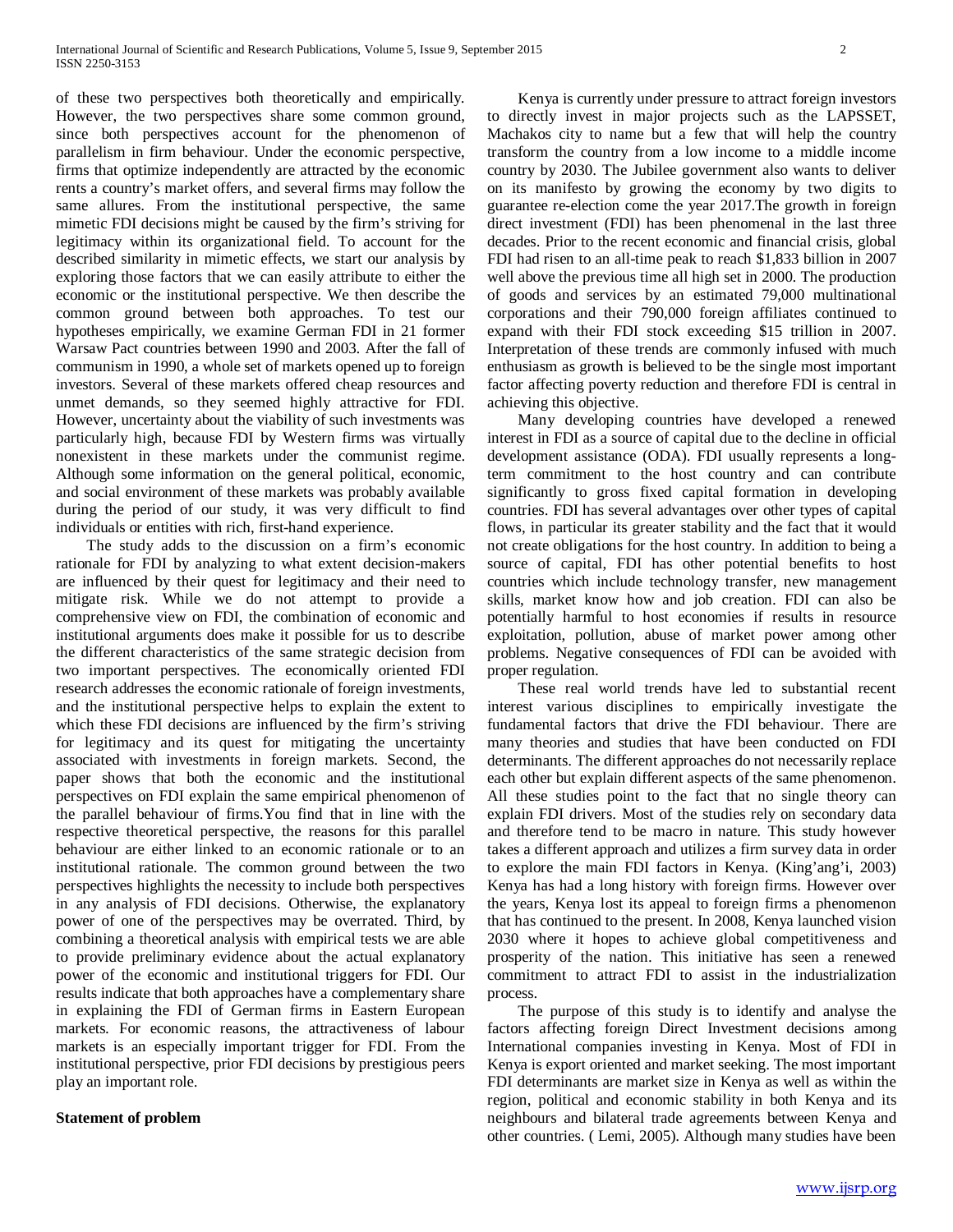of these two perspectives both theoretically and empirically. However, the two perspectives share some common ground, since both perspectives account for the phenomenon of parallelism in firm behaviour. Under the economic perspective, firms that optimize independently are attracted by the economic rents a country's market offers, and several firms may follow the same allures. From the institutional perspective, the same mimetic FDI decisions might be caused by the firm's striving for legitimacy within its organizational field. To account for the described similarity in mimetic effects, we start our analysis by exploring those factors that we can easily attribute to either the economic or the institutional perspective. We then describe the common ground between both approaches. To test our hypotheses empirically, we examine German FDI in 21 former Warsaw Pact countries between 1990 and 2003. After the fall of communism in 1990, a whole set of markets opened up to foreign investors. Several of these markets offered cheap resources and unmet demands, so they seemed highly attractive for FDI. However, uncertainty about the viability of such investments was particularly high, because FDI by Western firms was virtually nonexistent in these markets under the communist regime. Although some information on the general political, economic, and social environment of these markets was probably available during the period of our study, it was very difficult to find individuals or entities with rich, first-hand experience.

 The study adds to the discussion on a firm's economic rationale for FDI by analyzing to what extent decision-makers are influenced by their quest for legitimacy and their need to mitigate risk. While we do not attempt to provide a comprehensive view on FDI, the combination of economic and institutional arguments does make it possible for us to describe the different characteristics of the same strategic decision from two important perspectives. The economically oriented FDI research addresses the economic rationale of foreign investments, and the institutional perspective helps to explain the extent to which these FDI decisions are influenced by the firm's striving for legitimacy and its quest for mitigating the uncertainty associated with investments in foreign markets. Second, the paper shows that both the economic and the institutional perspectives on FDI explain the same empirical phenomenon of the parallel behaviour of firms.You find that in line with the respective theoretical perspective, the reasons for this parallel behaviour are either linked to an economic rationale or to an institutional rationale. The common ground between the two perspectives highlights the necessity to include both perspectives in any analysis of FDI decisions. Otherwise, the explanatory power of one of the perspectives may be overrated. Third, by combining a theoretical analysis with empirical tests we are able to provide preliminary evidence about the actual explanatory power of the economic and institutional triggers for FDI. Our results indicate that both approaches have a complementary share in explaining the FDI of German firms in Eastern European markets. For economic reasons, the attractiveness of labour markets is an especially important trigger for FDI. From the institutional perspective, prior FDI decisions by prestigious peers play an important role.

#### **Statement of problem**

 Kenya is currently under pressure to attract foreign investors to directly invest in major projects such as the LAPSSET, Machakos city to name but a few that will help the country transform the country from a low income to a middle income country by 2030. The Jubilee government also wants to deliver on its manifesto by growing the economy by two digits to guarantee re-election come the year 2017.The growth in foreign direct investment (FDI) has been phenomenal in the last three decades. Prior to the recent economic and financial crisis, global FDI had risen to an all-time peak to reach \$1,833 billion in 2007 well above the previous time all high set in 2000. The production of goods and services by an estimated 79,000 multinational corporations and their 790,000 foreign affiliates continued to expand with their FDI stock exceeding \$15 trillion in 2007. Interpretation of these trends are commonly infused with much enthusiasm as growth is believed to be the single most important factor affecting poverty reduction and therefore FDI is central in achieving this objective.

 Many developing countries have developed a renewed interest in FDI as a source of capital due to the decline in official development assistance (ODA). FDI usually represents a longterm commitment to the host country and can contribute significantly to gross fixed capital formation in developing countries. FDI has several advantages over other types of capital flows, in particular its greater stability and the fact that it would not create obligations for the host country. In addition to being a source of capital, FDI has other potential benefits to host countries which include technology transfer, new management skills, market know how and job creation. FDI can also be potentially harmful to host economies if results in resource exploitation, pollution, abuse of market power among other problems. Negative consequences of FDI can be avoided with proper regulation.

 These real world trends have led to substantial recent interest various disciplines to empirically investigate the fundamental factors that drive the FDI behaviour. There are many theories and studies that have been conducted on FDI determinants. The different approaches do not necessarily replace each other but explain different aspects of the same phenomenon. All these studies point to the fact that no single theory can explain FDI drivers. Most of the studies rely on secondary data and therefore tend to be macro in nature. This study however takes a different approach and utilizes a firm survey data in order to explore the main FDI factors in Kenya. (King'ang'i, 2003) Kenya has had a long history with foreign firms. However over the years, Kenya lost its appeal to foreign firms a phenomenon that has continued to the present. In 2008, Kenya launched vision 2030 where it hopes to achieve global competitiveness and prosperity of the nation. This initiative has seen a renewed commitment to attract FDI to assist in the industrialization process.

 The purpose of this study is to identify and analyse the factors affecting foreign Direct Investment decisions among International companies investing in Kenya. Most of FDI in Kenya is export oriented and market seeking. The most important FDI determinants are market size in Kenya as well as within the region, political and economic stability in both Kenya and its neighbours and bilateral trade agreements between Kenya and other countries. ( Lemi, 2005). Although many studies have been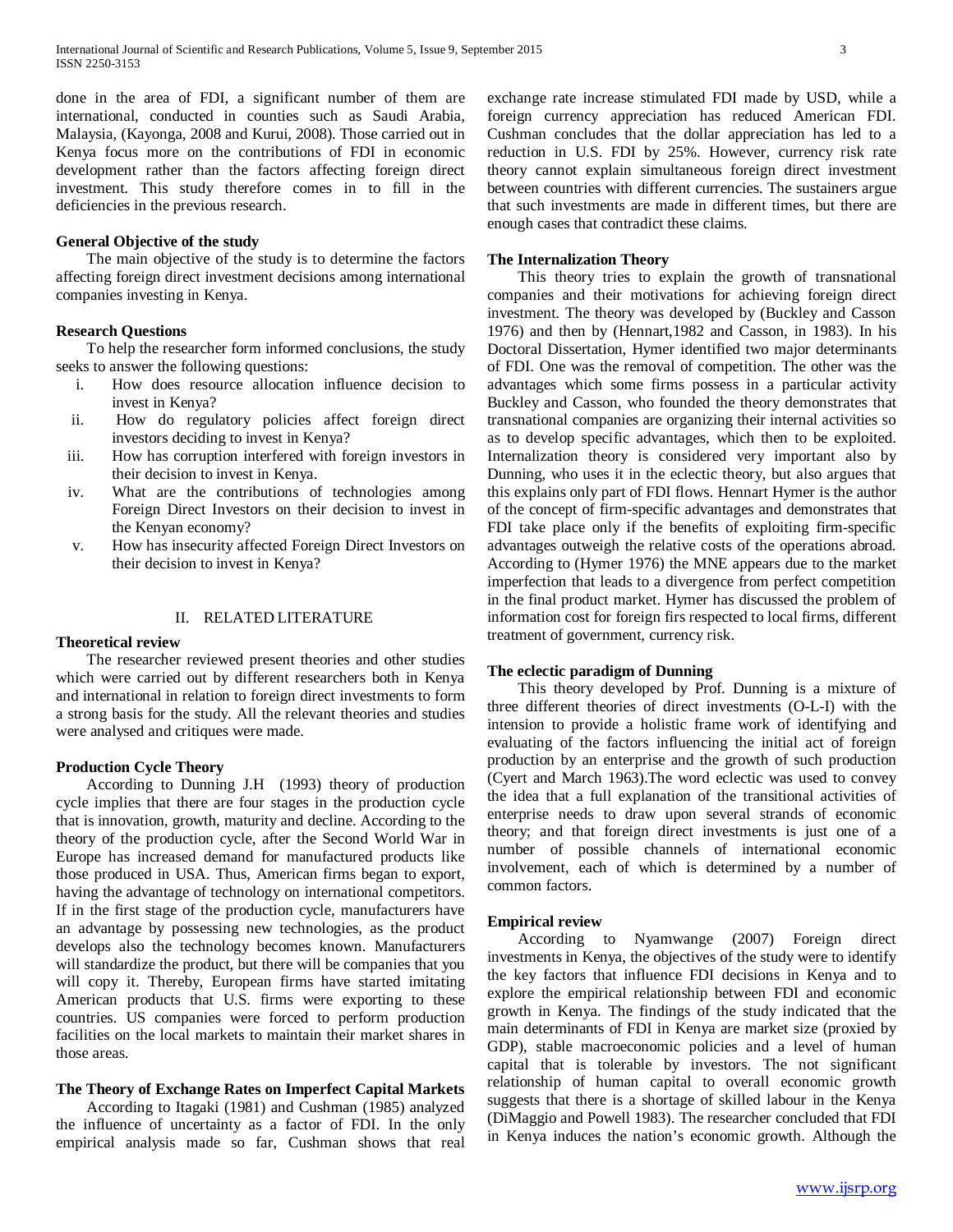done in the area of FDI, a significant number of them are international, conducted in counties such as Saudi Arabia, Malaysia, (Kayonga, 2008 and Kurui, 2008). Those carried out in Kenya focus more on the contributions of FDI in economic development rather than the factors affecting foreign direct investment. This study therefore comes in to fill in the deficiencies in the previous research.

#### **General Objective of the study**

 The main objective of the study is to determine the factors affecting foreign direct investment decisions among international companies investing in Kenya.

## **Research Questions**

 To help the researcher form informed conclusions, the study seeks to answer the following questions:

- i. How does resource allocation influence decision to invest in Kenya?
- ii. How do regulatory policies affect foreign direct investors deciding to invest in Kenya?
- iii. How has corruption interfered with foreign investors in their decision to invest in Kenya.
- iv. What are the contributions of technologies among Foreign Direct Investors on their decision to invest in the Kenyan economy?
- v. How has insecurity affected Foreign Direct Investors on their decision to invest in Kenya?

#### II. RELATED LITERATURE

## **Theoretical review**

 The researcher reviewed present theories and other studies which were carried out by different researchers both in Kenya and international in relation to foreign direct investments to form a strong basis for the study. All the relevant theories and studies were analysed and critiques were made.

#### **Production Cycle Theory**

 According to Dunning J.H (1993) theory of production cycle implies that there are four stages in the production cycle that is innovation, growth, maturity and decline. According to the theory of the production cycle, after the Second World War in Europe has increased demand for manufactured products like those produced in USA. Thus, American firms began to export, having the advantage of technology on international competitors. If in the first stage of the production cycle, manufacturers have an advantage by possessing new technologies, as the product develops also the technology becomes known. Manufacturers will standardize the product, but there will be companies that you will copy it. Thereby, European firms have started imitating American products that U.S. firms were exporting to these countries. US companies were forced to perform production facilities on the local markets to maintain their market shares in those areas.

## **The Theory of Exchange Rates on Imperfect Capital Markets**

 According to Itagaki (1981) and Cushman (1985) analyzed the influence of uncertainty as a factor of FDI. In the only empirical analysis made so far, Cushman shows that real exchange rate increase stimulated FDI made by USD, while a foreign currency appreciation has reduced American FDI. Cushman concludes that the dollar appreciation has led to a reduction in U.S. FDI by 25%. However, currency risk rate theory cannot explain simultaneous foreign direct investment between countries with different currencies. The sustainers argue that such investments are made in different times, but there are enough cases that contradict these claims.

## **The Internalization Theory**

 This theory tries to explain the growth of transnational companies and their motivations for achieving foreign direct investment. The theory was developed by (Buckley and Casson 1976) and then by (Hennart,1982 and Casson, in 1983). In his Doctoral Dissertation, Hymer identified two major determinants of FDI. One was the removal of competition. The other was the advantages which some firms possess in a particular activity Buckley and Casson, who founded the theory demonstrates that transnational companies are organizing their internal activities so as to develop specific advantages, which then to be exploited. Internalization theory is considered very important also by Dunning, who uses it in the eclectic theory, but also argues that this explains only part of FDI flows. Hennart Hymer is the author of the concept of firm-specific advantages and demonstrates that FDI take place only if the benefits of exploiting firm-specific advantages outweigh the relative costs of the operations abroad. According to (Hymer 1976) the MNE appears due to the market imperfection that leads to a divergence from perfect competition in the final product market. Hymer has discussed the problem of information cost for foreign firs respected to local firms, different treatment of government, currency risk.

## **The eclectic paradigm of Dunning**

 This theory developed by Prof. Dunning is a mixture of three different theories of direct investments (O-L-I) with the intension to provide a holistic frame work of identifying and evaluating of the factors influencing the initial act of foreign production by an enterprise and the growth of such production (Cyert and March 1963).The word eclectic was used to convey the idea that a full explanation of the transitional activities of enterprise needs to draw upon several strands of economic theory; and that foreign direct investments is just one of a number of possible channels of international economic involvement, each of which is determined by a number of common factors.

#### **Empirical review**

 According to Nyamwange (2007) Foreign direct investments in Kenya, the objectives of the study were to identify the key factors that influence FDI decisions in Kenya and to explore the empirical relationship between FDI and economic growth in Kenya. The findings of the study indicated that the main determinants of FDI in Kenya are market size (proxied by GDP), stable macroeconomic policies and a level of human capital that is tolerable by investors. The not significant relationship of human capital to overall economic growth suggests that there is a shortage of skilled labour in the Kenya (DiMaggio and Powell 1983). The researcher concluded that FDI in Kenya induces the nation's economic growth. Although the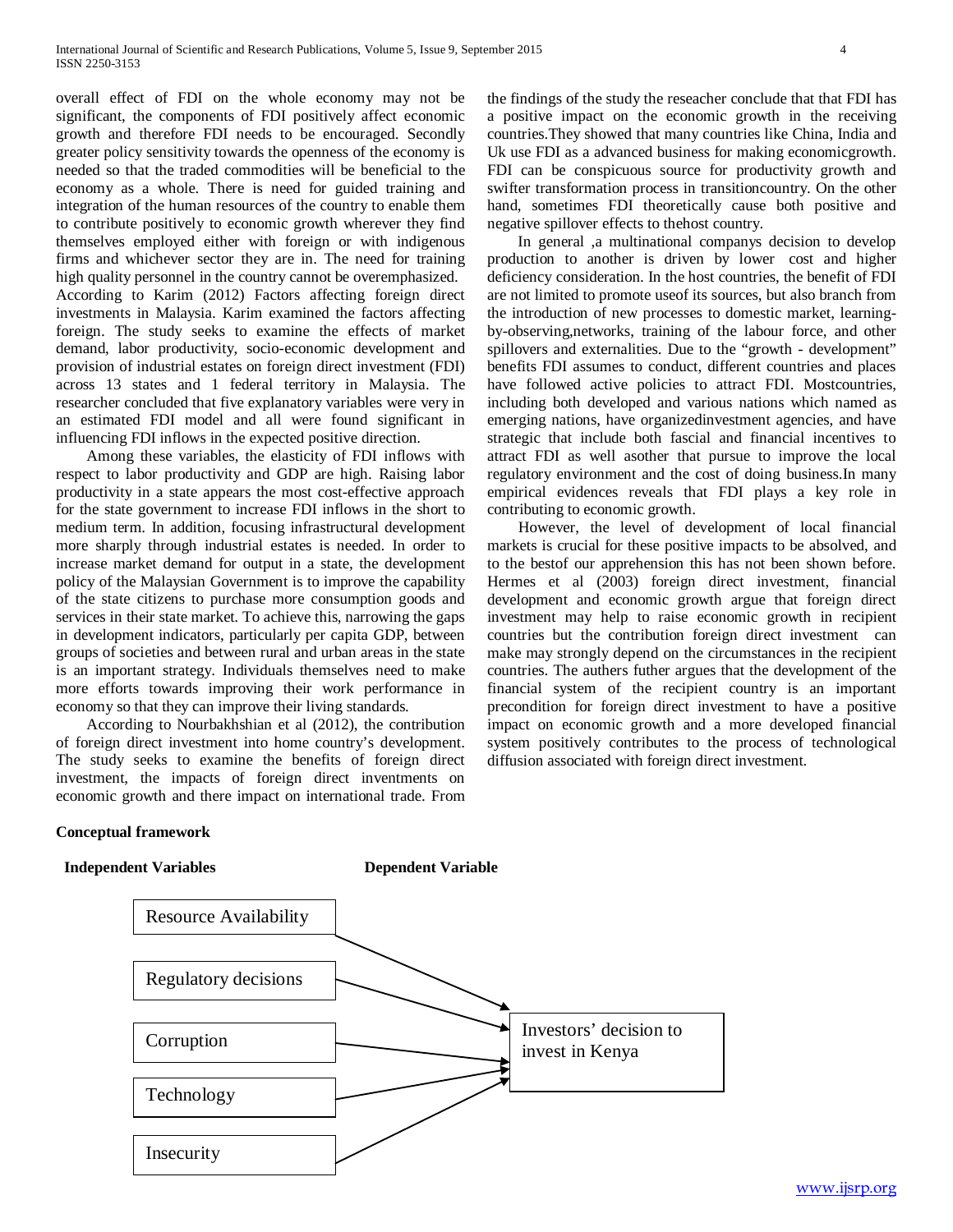overall effect of FDI on the whole economy may not be significant, the components of FDI positively affect economic growth and therefore FDI needs to be encouraged. Secondly greater policy sensitivity towards the openness of the economy is needed so that the traded commodities will be beneficial to the economy as a whole. There is need for guided training and integration of the human resources of the country to enable them to contribute positively to economic growth wherever they find themselves employed either with foreign or with indigenous firms and whichever sector they are in. The need for training high quality personnel in the country cannot be overemphasized. According to Karim (2012) Factors affecting foreign direct investments in Malaysia. Karim examined the factors affecting foreign. The study seeks to examine the effects of market demand, labor productivity, socio-economic development and provision of industrial estates on foreign direct investment (FDI) across 13 states and 1 federal territory in Malaysia. The researcher concluded that five explanatory variables were very in an estimated FDI model and all were found significant in influencing FDI inflows in the expected positive direction.

 Among these variables, the elasticity of FDI inflows with respect to labor productivity and GDP are high. Raising labor productivity in a state appears the most cost-effective approach for the state government to increase FDI inflows in the short to medium term. In addition, focusing infrastructural development more sharply through industrial estates is needed. In order to increase market demand for output in a state, the development policy of the Malaysian Government is to improve the capability of the state citizens to purchase more consumption goods and services in their state market. To achieve this, narrowing the gaps in development indicators, particularly per capita GDP, between groups of societies and between rural and urban areas in the state is an important strategy. Individuals themselves need to make more efforts towards improving their work performance in economy so that they can improve their living standards.

 According to Nourbakhshian et al (2012), the contribution of foreign direct investment into home country's development. The study seeks to examine the benefits of foreign direct investment, the impacts of foreign direct inventments on economic growth and there impact on international trade. From the findings of the study the reseacher conclude that that FDI has a positive impact on the economic growth in the receiving countries.They showed that many countries like China, India and Uk use FDI as a advanced business for making economicgrowth. FDI can be conspicuous source for productivity growth and swifter transformation process in transitioncountry. On the other hand, sometimes FDI theoretically cause both positive and negative spillover effects to thehost country.

 In general ,a multinational companys decision to develop production to another is driven by lower cost and higher deficiency consideration. In the host countries, the benefit of FDI are not limited to promote useof its sources, but also branch from the introduction of new processes to domestic market, learningby-observing,networks, training of the labour force, and other spillovers and externalities. Due to the "growth - development" benefits FDI assumes to conduct, different countries and places have followed active policies to attract FDI. Mostcountries, including both developed and various nations which named as emerging nations, have organizedinvestment agencies, and have strategic that include both fascial and financial incentives to attract FDI as well asother that pursue to improve the local regulatory environment and the cost of doing business.In many empirical evidences reveals that FDI plays a key role in contributing to economic growth.

 However, the level of development of local financial markets is crucial for these positive impacts to be absolved, and to the bestof our apprehension this has not been shown before. Hermes et al (2003) foreign direct investment, financial development and economic growth argue that foreign direct investment may help to raise economic growth in recipient countries but the contribution foreign direct investment can make may strongly depend on the circumstances in the recipient countries. The authers futher argues that the development of the financial system of the recipient country is an important precondition for foreign direct investment to have a positive impact on economic growth and a more developed financial system positively contributes to the process of technological diffusion associated with foreign direct investment.

## **Conceptual framework**

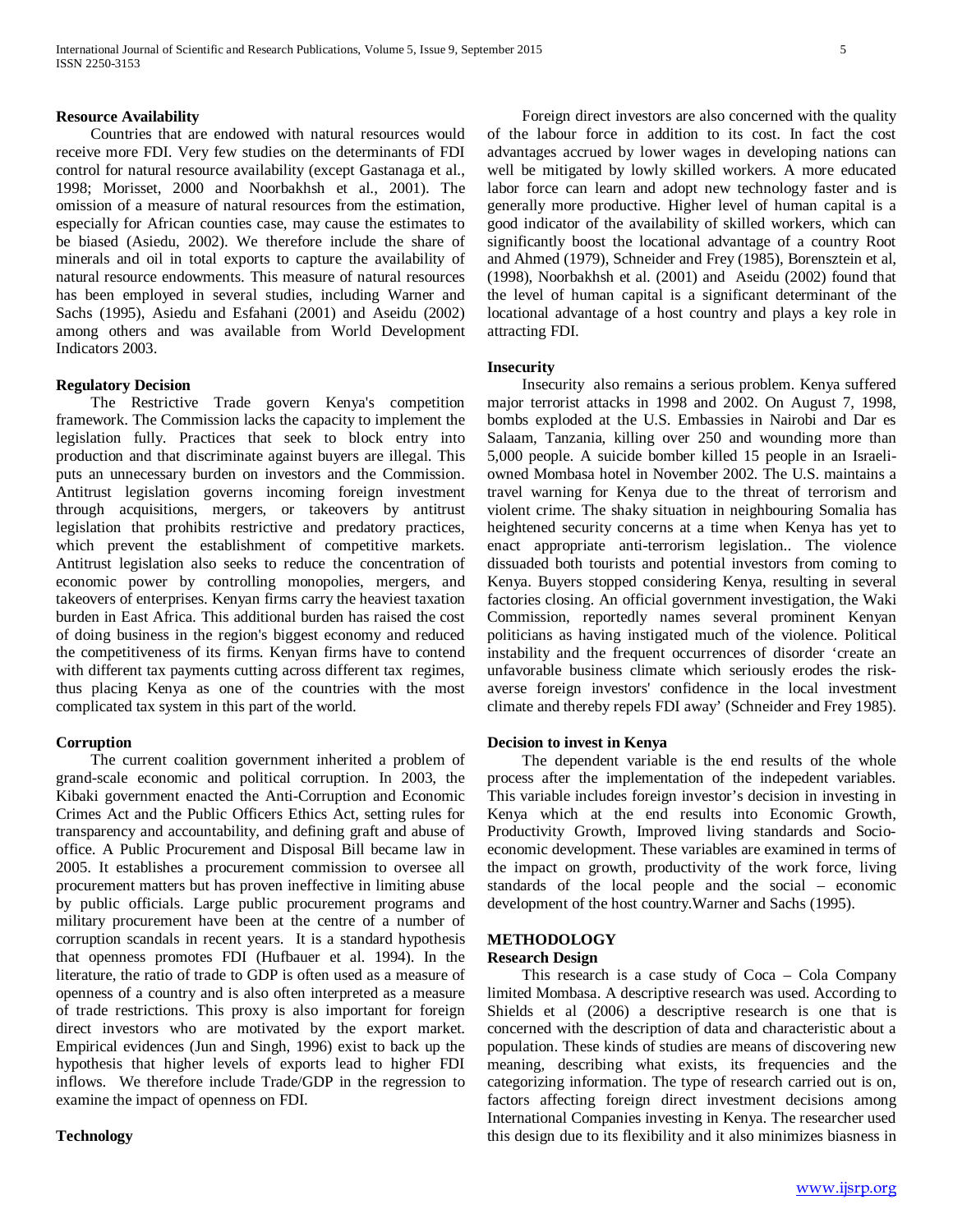#### **Resource Availability**

 Countries that are endowed with natural resources would receive more FDI. Very few studies on the determinants of FDI control for natural resource availability (except Gastanaga et al., 1998; Morisset, 2000 and Noorbakhsh et al., 2001). The omission of a measure of natural resources from the estimation, especially for African counties case, may cause the estimates to be biased (Asiedu, 2002). We therefore include the share of minerals and oil in total exports to capture the availability of natural resource endowments. This measure of natural resources has been employed in several studies, including Warner and Sachs (1995), Asiedu and Esfahani (2001) and Aseidu (2002) among others and was available from World Development Indicators 2003.

#### **Regulatory Decision**

 The Restrictive Trade govern Kenya's competition framework. The Commission lacks the capacity to implement the legislation fully. Practices that seek to block entry into production and that discriminate against buyers are illegal. This puts an unnecessary burden on investors and the Commission. Antitrust legislation governs incoming foreign investment through acquisitions, mergers, or takeovers by antitrust legislation that prohibits restrictive and predatory practices, which prevent the establishment of competitive markets. Antitrust legislation also seeks to reduce the concentration of economic power by controlling monopolies, mergers, and takeovers of enterprises. Kenyan firms carry the heaviest taxation burden in East Africa. This additional burden has raised the cost of doing business in the region's biggest economy and reduced the competitiveness of its firms. Kenyan firms have to contend with different tax payments cutting across different tax regimes, thus placing Kenya as one of the countries with the most complicated tax system in this part of the world.

#### **Corruption**

 The current coalition government inherited a problem of grand-scale economic and political corruption. In 2003, the Kibaki government enacted the Anti-Corruption and Economic Crimes Act and the Public Officers Ethics Act, setting rules for transparency and accountability, and defining graft and abuse of office. A Public Procurement and Disposal Bill became law in 2005. It establishes a procurement commission to oversee all procurement matters but has proven ineffective in limiting abuse by public officials. Large public procurement programs and military procurement have been at the centre of a number of corruption scandals in recent years. It is a standard hypothesis that openness promotes FDI (Hufbauer et al. 1994). In the literature, the ratio of trade to GDP is often used as a measure of openness of a country and is also often interpreted as a measure of trade restrictions. This proxy is also important for foreign direct investors who are motivated by the export market. Empirical evidences (Jun and Singh, 1996) exist to back up the hypothesis that higher levels of exports lead to higher FDI inflows. We therefore include Trade/GDP in the regression to examine the impact of openness on FDI.

#### **Technology**

 Foreign direct investors are also concerned with the quality of the labour force in addition to its cost. In fact the cost advantages accrued by lower wages in developing nations can well be mitigated by lowly skilled workers. A more educated labor force can learn and adopt new technology faster and is generally more productive. Higher level of human capital is a good indicator of the availability of skilled workers, which can significantly boost the locational advantage of a country Root and Ahmed (1979), Schneider and Frey (1985), Borensztein et al, (1998), Noorbakhsh et al. (2001) and Aseidu (2002) found that the level of human capital is a significant determinant of the locational advantage of a host country and plays a key role in attracting FDI.

#### **Insecurity**

 Insecurity also remains a serious problem. Kenya suffered major terrorist attacks in 1998 and 2002. On August 7, 1998, bombs exploded at the U.S. Embassies in Nairobi and Dar es Salaam, Tanzania, killing over 250 and wounding more than 5,000 people. A suicide bomber killed 15 people in an Israeliowned Mombasa hotel in November 2002. The U.S. maintains a travel warning for Kenya due to the threat of terrorism and violent crime. The shaky situation in neighbouring Somalia has heightened security concerns at a time when Kenya has yet to enact appropriate anti-terrorism legislation.. The violence dissuaded both tourists and potential investors from coming to Kenya. Buyers stopped considering Kenya, resulting in several factories closing. An official government investigation, the Waki Commission, reportedly names several prominent Kenyan politicians as having instigated much of the violence. Political instability and the frequent occurrences of disorder 'create an unfavorable business climate which seriously erodes the riskaverse foreign investors' confidence in the local investment climate and thereby repels FDI away' (Schneider and Frey 1985).

#### **Decision to invest in Kenya**

 The dependent variable is the end results of the whole process after the implementation of the indepedent variables. This variable includes foreign investor's decision in investing in Kenya which at the end results into Economic Growth, Productivity Growth, Improved living standards and Socioeconomic development. These variables are examined in terms of the impact on growth, productivity of the work force, living standards of the local people and the social – economic development of the host country.Warner and Sachs (1995).

#### **METHODOLOGY Research Design**

 This research is a case study of Coca – Cola Company limited Mombasa. A descriptive research was used. According to Shields et al (2006) a descriptive research is one that is concerned with the description of data and characteristic about a population. These kinds of studies are means of discovering new meaning, describing what exists, its frequencies and the categorizing information. The type of research carried out is on, factors affecting foreign direct investment decisions among International Companies investing in Kenya. The researcher used this design due to its flexibility and it also minimizes biasness in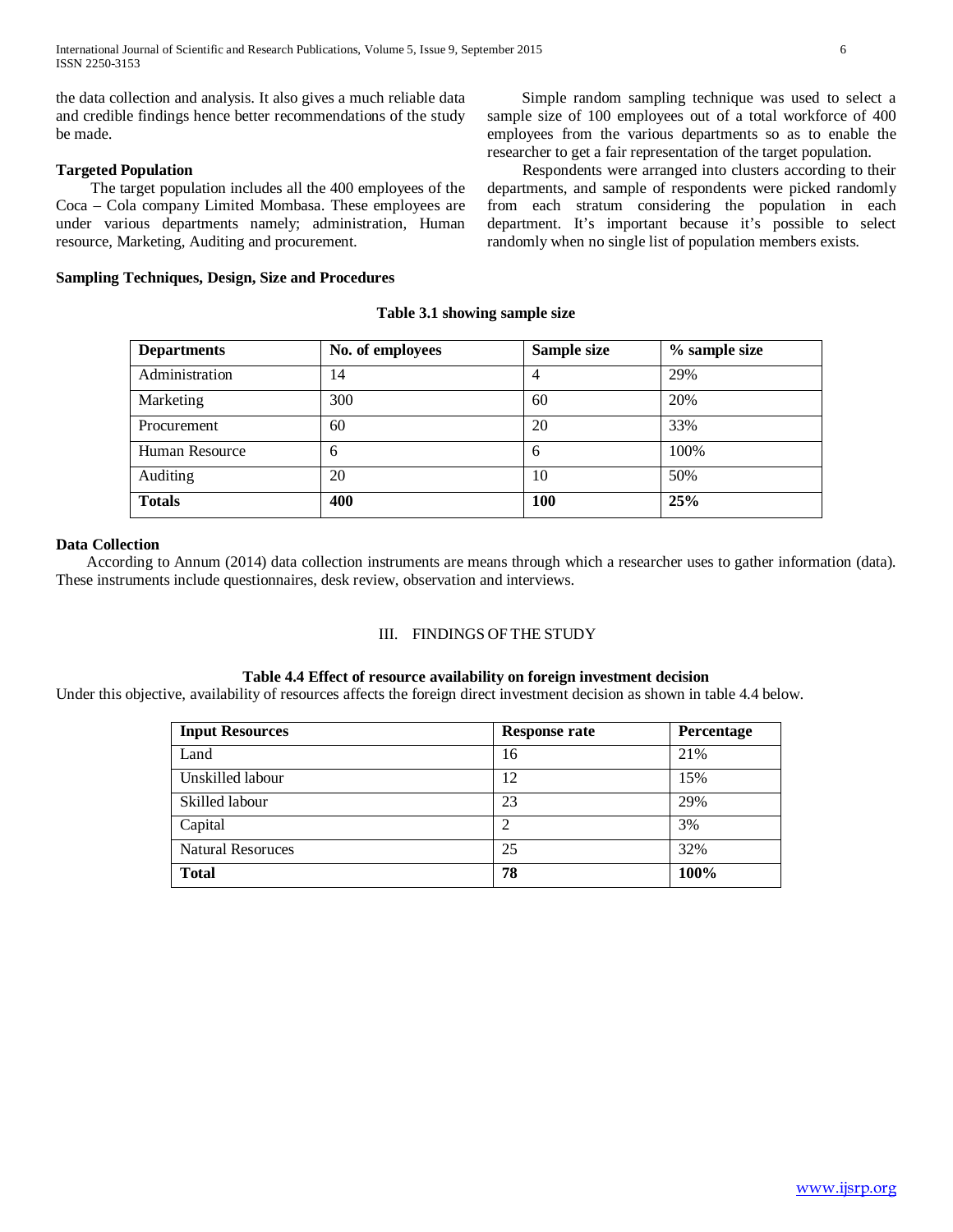the data collection and analysis. It also gives a much reliable data and credible findings hence better recommendations of the study be made.

# **Targeted Population**

 The target population includes all the 400 employees of the Coca – Cola company Limited Mombasa. These employees are under various departments namely; administration, Human resource, Marketing, Auditing and procurement.

## **Sampling Techniques, Design, Size and Procedures**

 Simple random sampling technique was used to select a sample size of 100 employees out of a total workforce of 400 employees from the various departments so as to enable the researcher to get a fair representation of the target population.

 Respondents were arranged into clusters according to their departments, and sample of respondents were picked randomly from each stratum considering the population in each department. It's important because it's possible to select randomly when no single list of population members exists.

## **Table 3.1 showing sample size**

| <b>Departments</b>    | No. of employees | Sample size | $%$ sample size |
|-----------------------|------------------|-------------|-----------------|
| Administration        | 14               | 4           | 29%             |
| Marketing             | 300              | 60          | 20%             |
| Procurement           | 60               | 20          | 33%             |
| <b>Human Resource</b> | 6                | 6           | 100%            |
| Auditing              | 20               | 10          | 50%             |
| <b>Totals</b>         | 400              | 100         | 25%             |

## **Data Collection**

 According to Annum (2014) data collection instruments are means through which a researcher uses to gather information (data). These instruments include questionnaires, desk review, observation and interviews.

# III. FINDINGS OF THE STUDY

## **Table 4.4 Effect of resource availability on foreign investment decision**

Under this objective, availability of resources affects the foreign direct investment decision as shown in table 4.4 below.

| <b>Input Resources</b>   | <b>Response rate</b> | <b>Percentage</b> |
|--------------------------|----------------------|-------------------|
| Land                     | 16                   | 21%               |
| Unskilled labour         | 12                   | 15%               |
| Skilled labour           | 23                   | 29%               |
| Capital                  | っ                    | 3%                |
| <b>Natural Resoruces</b> | 25                   | 32%               |
| <b>Total</b>             | 78                   | 100%              |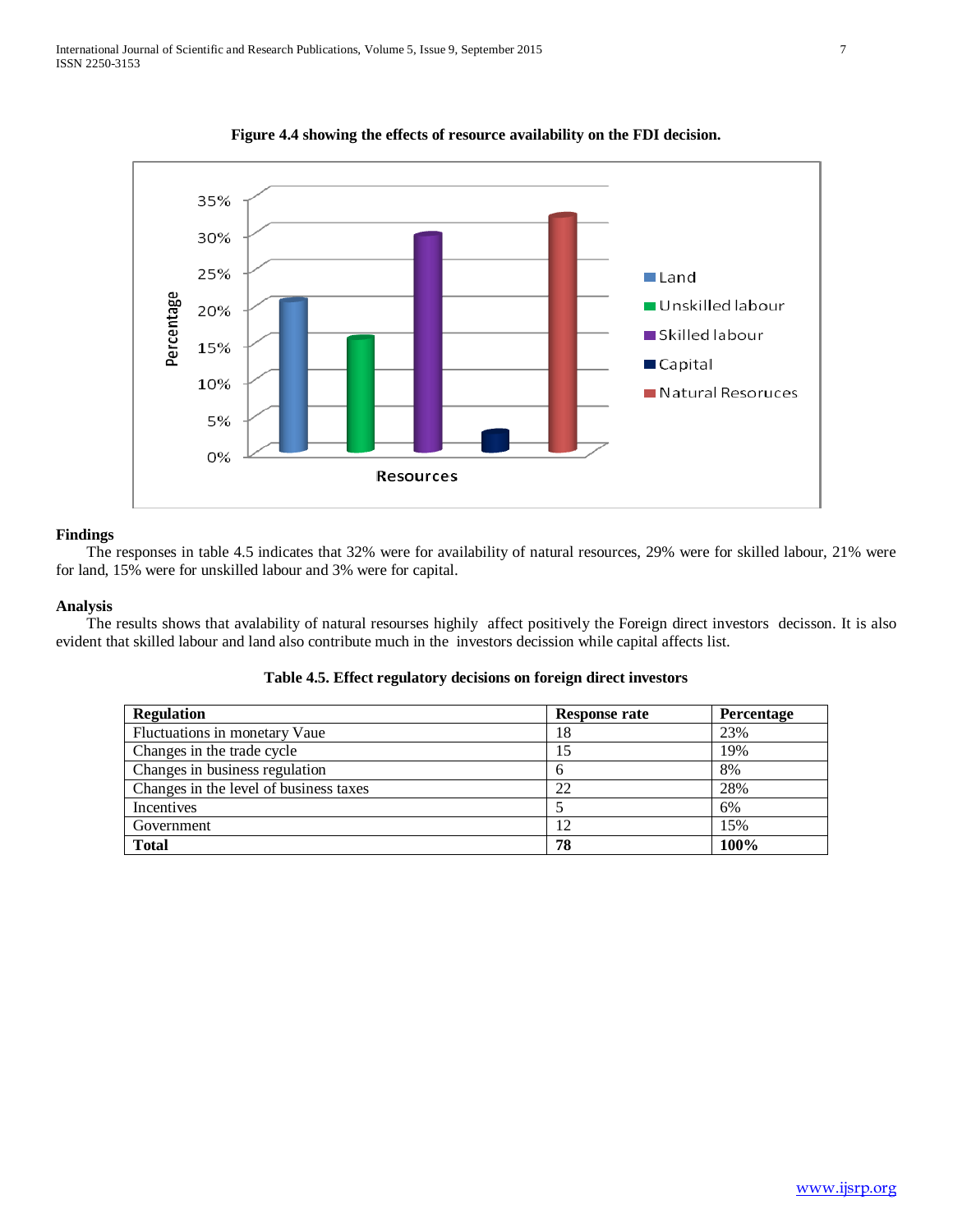

**Figure 4.4 showing the effects of resource availability on the FDI decision.**

 The responses in table 4.5 indicates that 32% were for availability of natural resources, 29% were for skilled labour, 21% were for land, 15% were for unskilled labour and 3% were for capital.

## **Analysis**

 The results shows that avalability of natural resourses highily affect positively the Foreign direct investors decisson. It is also evident that skilled labour and land also contribute much in the investors decission while capital affects list.

| <b>Regulation</b>                      | Response rate | <b>Percentage</b> |
|----------------------------------------|---------------|-------------------|
| Fluctuations in monetary Vaue          | 18            | 23%               |
| Changes in the trade cycle             |               | 19%               |
| Changes in business regulation         | O             | 8%                |
| Changes in the level of business taxes | 22            | 28%               |
| Incentives                             |               | 6%                |
| Government                             |               | 15%               |
| <b>Total</b>                           | 78            | 100%              |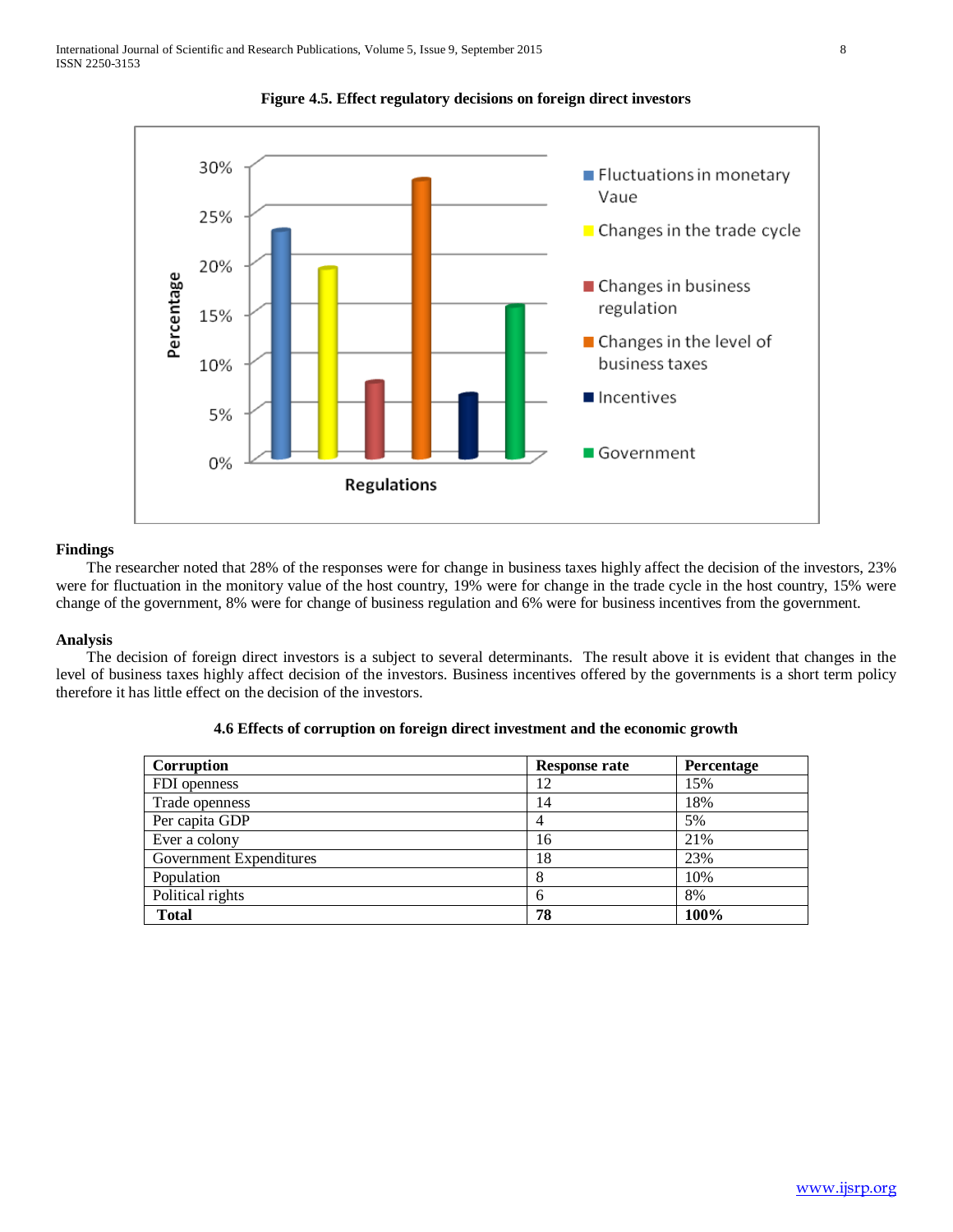



 The researcher noted that 28% of the responses were for change in business taxes highly affect the decision of the investors, 23% were for fluctuation in the monitory value of the host country, 19% were for change in the trade cycle in the host country, 15% were change of the government, 8% were for change of business regulation and 6% were for business incentives from the government.

## **Analysis**

 The decision of foreign direct investors is a subject to several determinants. The result above it is evident that changes in the level of business taxes highly affect decision of the investors. Business incentives offered by the governments is a short term policy therefore it has little effect on the decision of the investors.

| Corruption              | <b>Response rate</b> | <b>Percentage</b> |
|-------------------------|----------------------|-------------------|
| FDI openness            | 12                   | 15%               |
| Trade openness          | 14                   | 18%               |
| Per capita GDP          | 4                    | 5%                |
| Ever a colony           | 16                   | 21%               |
| Government Expenditures | 18                   | 23%               |
| Population              | 8                    | 10%               |
| Political rights        | 6                    | 8%                |
| <b>Total</b>            | 78                   | 100%              |

|  |  | 4.6 Effects of corruption on foreign direct investment and the economic growth |  |
|--|--|--------------------------------------------------------------------------------|--|
|  |  |                                                                                |  |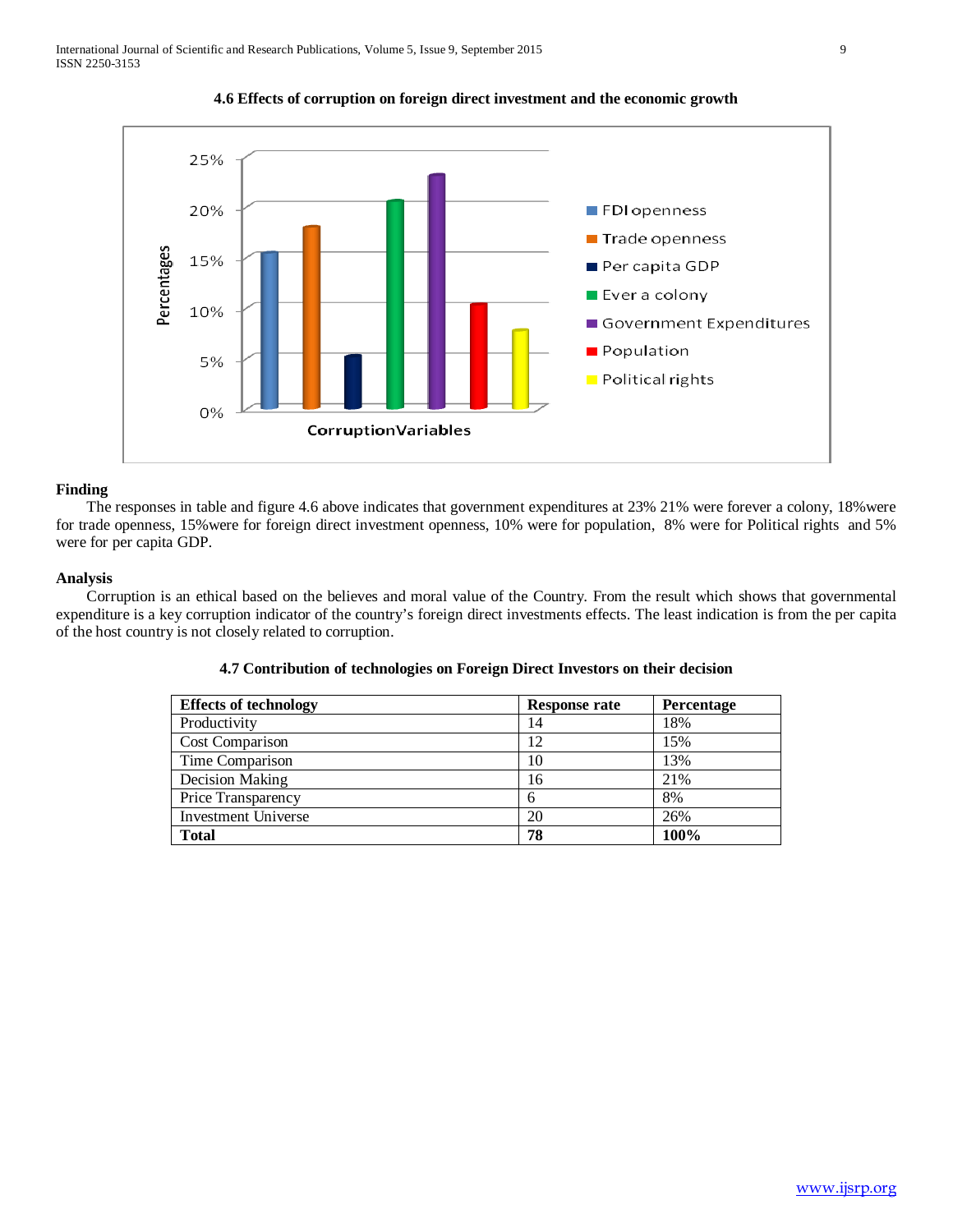

**4.6 Effects of corruption on foreign direct investment and the economic growth**

 The responses in table and figure 4.6 above indicates that government expenditures at 23% 21% were forever a colony, 18%were for trade openness, 15%were for foreign direct investment openness, 10% were for population, 8% were for Political rights and 5% were for per capita GDP.

## **Analysis**

 Corruption is an ethical based on the believes and moral value of the Country. From the result which shows that governmental expenditure is a key corruption indicator of the country's foreign direct investments effects. The least indication is from the per capita of the host country is not closely related to corruption.

| <b>Effects of technology</b> | <b>Response rate</b> | <b>Percentage</b> |
|------------------------------|----------------------|-------------------|
| Productivity                 | 14                   | 18%               |
| Cost Comparison              | 12                   | 15%               |
| Time Comparison              | 10                   | 13%               |
| Decision Making              | 16                   | 21%               |
| Price Transparency           | 6                    | 8%                |
| <b>Investment Universe</b>   | 20                   | 26%               |
| <b>Total</b>                 | 78                   | 100%              |

# **4.7 Contribution of technologies on Foreign Direct Investors on their decision**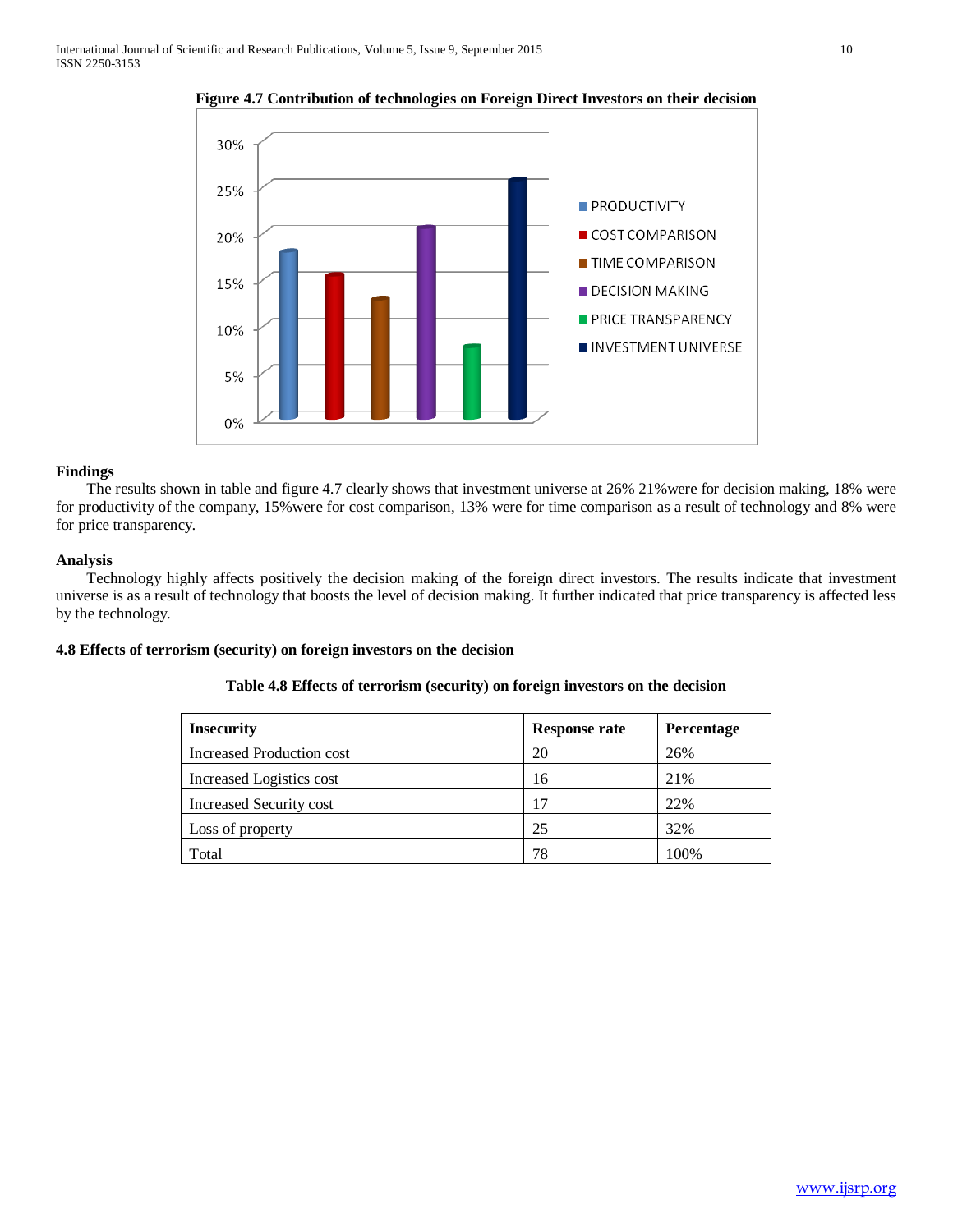

**Figure 4.7 Contribution of technologies on Foreign Direct Investors on their decision**

 The results shown in table and figure 4.7 clearly shows that investment universe at 26% 21%were for decision making, 18% were for productivity of the company, 15%were for cost comparison, 13% were for time comparison as a result of technology and 8% were for price transparency.

## **Analysis**

 Technology highly affects positively the decision making of the foreign direct investors. The results indicate that investment universe is as a result of technology that boosts the level of decision making. It further indicated that price transparency is affected less by the technology.

# **4.8 Effects of terrorism (security) on foreign investors on the decision**

| Table 4.8 Effects of terrorism (security) on foreign investors on the decision |  |
|--------------------------------------------------------------------------------|--|
|                                                                                |  |

| <b>Insecurity</b>         | Response rate | Percentage |
|---------------------------|---------------|------------|
| Increased Production cost | 20            | 26%        |
| Increased Logistics cost  | 16            | 21%        |
| Increased Security cost   | 17            | 22%        |
| Loss of property          | 25            | 32%        |
| Total                     | 78            | 100%       |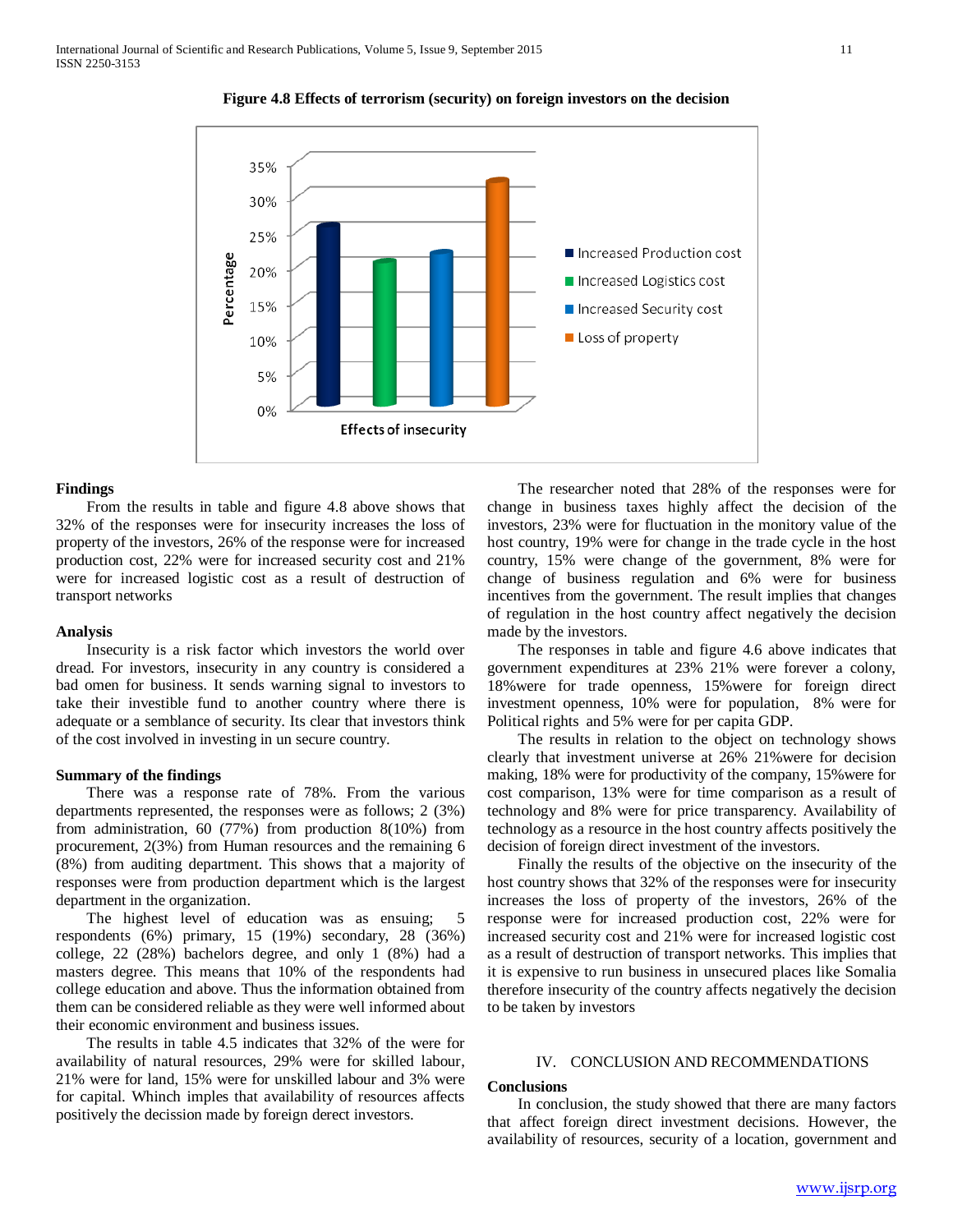

**Figure 4.8 Effects of terrorism (security) on foreign investors on the decision**

 From the results in table and figure 4.8 above shows that 32% of the responses were for insecurity increases the loss of property of the investors, 26% of the response were for increased production cost, 22% were for increased security cost and 21% were for increased logistic cost as a result of destruction of transport networks

#### **Analysis**

 Insecurity is a risk factor which investors the world over dread. For investors, insecurity in any country is considered a bad omen for business. It sends warning signal to investors to take their investible fund to another country where there is adequate or a semblance of security. Its clear that investors think of the cost involved in investing in un secure country.

#### **Summary of the findings**

 There was a response rate of 78%. From the various departments represented, the responses were as follows; 2 (3%) from administration, 60 (77%) from production 8(10%) from procurement, 2(3%) from Human resources and the remaining 6 (8%) from auditing department. This shows that a majority of responses were from production department which is the largest department in the organization.

 The highest level of education was as ensuing; 5 respondents (6%) primary, 15 (19%) secondary, 28 (36%) college, 22 (28%) bachelors degree, and only 1 (8%) had a masters degree. This means that 10% of the respondents had college education and above. Thus the information obtained from them can be considered reliable as they were well informed about their economic environment and business issues.

 The results in table 4.5 indicates that 32% of the were for availability of natural resources, 29% were for skilled labour, 21% were for land, 15% were for unskilled labour and 3% were for capital. Whinch imples that availability of resources affects positively the decission made by foreign derect investors.

 The researcher noted that 28% of the responses were for change in business taxes highly affect the decision of the investors, 23% were for fluctuation in the monitory value of the host country, 19% were for change in the trade cycle in the host country, 15% were change of the government, 8% were for change of business regulation and 6% were for business incentives from the government. The result implies that changes of regulation in the host country affect negatively the decision made by the investors.

 The responses in table and figure 4.6 above indicates that government expenditures at 23% 21% were forever a colony, 18%were for trade openness, 15%were for foreign direct investment openness, 10% were for population, 8% were for Political rights and 5% were for per capita GDP.

 The results in relation to the object on technology shows clearly that investment universe at 26% 21%were for decision making, 18% were for productivity of the company, 15%were for cost comparison, 13% were for time comparison as a result of technology and 8% were for price transparency. Availability of technology as a resource in the host country affects positively the decision of foreign direct investment of the investors.

 Finally the results of the objective on the insecurity of the host country shows that 32% of the responses were for insecurity increases the loss of property of the investors, 26% of the response were for increased production cost, 22% were for increased security cost and 21% were for increased logistic cost as a result of destruction of transport networks. This implies that it is expensive to run business in unsecured places like Somalia therefore insecurity of the country affects negatively the decision to be taken by investors

## IV. CONCLUSION AND RECOMMENDATIONS

## **Conclusions**

 In conclusion, the study showed that there are many factors that affect foreign direct investment decisions. However, the availability of resources, security of a location, government and